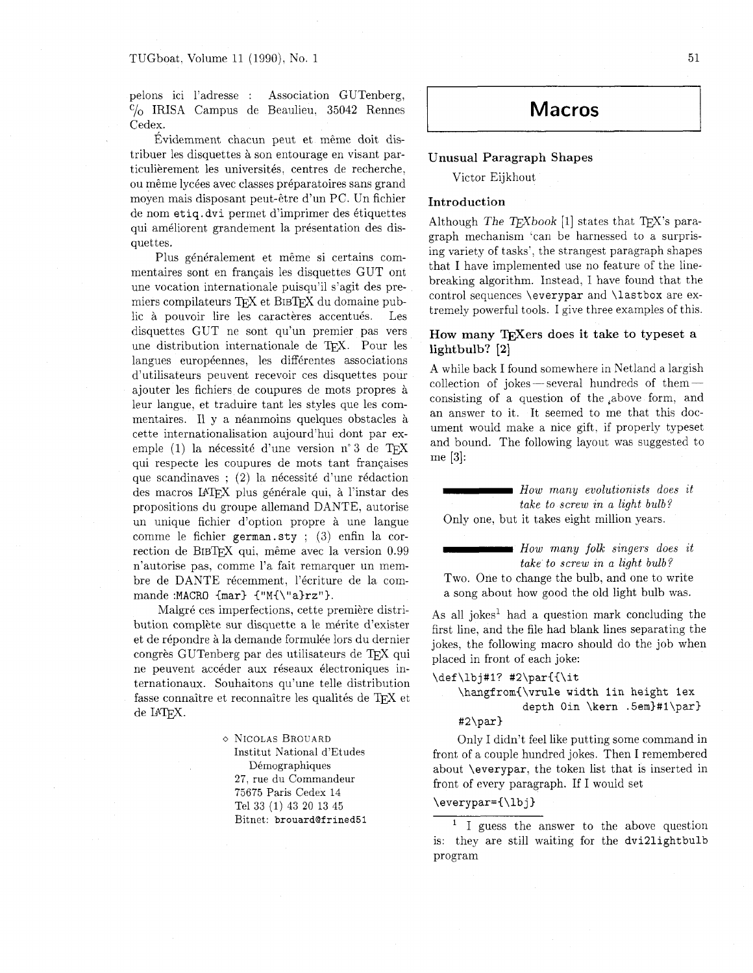pelons ici l'adresse : Association GUTenberg,  $C/O$  IRISA Campus de Beaulieu. 35042 Rennes Cedex.

Evidemment chacun peut et même doit distribuer les disquettes & son entourage en visant particulièrement les universités, centres de recherche, ou même lycées avec classes préparatoires sans grand moyen mais disposant peut-6tre d'un PC. Un fichier de nom etiq. dvi permet d'imprimer des étiquettes qui améliorent grandement la présentation des disquettes.

Plus généralement et même si certains commentaires sont en franqais les disquettes GUT ont une vocation internationale puisqu'il s'agit des premiers compilateurs TFX et BIBTFX du domaine public à pouvoir lire les caractères accentués. Les disquettes GUT ne sont qu'un premier pas vers une distribution internationale de TEX. Pour les langues européennes, les différentes associations d'utilisateurs peuvent recevoir ces disquettes pour ajouter les fichiers de coupures de mots propres & leur langue, et traduire tant les styles que les commentaires. Il y a néanmoins quelques obstacles à cette internationalisation aujourd'hui dont par exemple  $(1)$  la nécessité d'une version n° 3 de TFX qui respecte les coupures de mots tant franqaises que scandinaves ; (2) la nécessité d'une rédaction des macros **IATFX** plus générale qui, à l'instar des propositions du groupe allemand DANTE. autorise un unique fichier d'option propre & une langue comme le fichier **german.sty** ; (3) enfin la correction de BIBTFX qui, même avec la version 0.99 n'autorise pas, comme l'a fait remarquer un membre de DANTE récemment, l'écriture de la commande **:MACRO {mar) {"M{\"a)rz").** 

Malgré ces imperfections, cette première distribution complète sur disquette a le mérite d'exister et de répondre à la demande formulée lors du dernier congrès GUTenberg par des utilisateurs de TFX qui ne peuvent accéder aux réseaux électroniques internationaux. Souhaitons qu'une telle distribution fasse connaître et reconnaître les qualités de TEX et de **IPW.** 

> o NICOLAS BROUARD Institut National d'Etudes Démographiques 27, rue du Commandeur 75675 Paris Cedex 14 Tel 33 (1) 43 20 13 45 Bitnet: brouard@frined51

# **Macros**

# **Unusual Paragraph Shapes**

Victor Eijkhout

# **Introduction**

Although The  $TFXbook$  [1] states that  $TFX$ 's paragraph mechanism 'can be harnessed to a surprising variety of tasks', the strangest paragraph shapes that I have implemented use no feature of the linebreaking algorithm. Instead. I have found that the control sequences **\everypar** and **\lastbox** are extremely powerful tools. I give three examples of this.

# How many T<sub>F</sub>Xers does it take to typeset a **lightbulb? [2]**

A while back I found somewhere in Netland a largish A while back I found somewhere in Netland a largish<br>collection of jokes — several hundreds of them consisting of a question of the ,above form. and an answer to it. It seemed to me that this document would make a nice gift, if properly typeset and bound. The following layout was suggested to me [3]: Early algorithm. Instead, I have found that if<br>the following and the same of this tentrol sequences \everypar and \lastbox are es<br>mely powerful tools. I give three examples of this<br>pw many TEXers does it take to typeset a<br> **Example 12**<br> **Conservant Singler Conservant Singler Conservant Singler Conservant Singler of a question of the above form, an<br>
answer to it. It seemed to me that this does<br>
and would make a nice gift, if properly typesed** 

*take to screw in a light bulb?* Only one, but it takes eight million years.

*take to screw in a light bulb?*  Two. One to change the bulb, and one to write

a song about how good the old light bulb was.

As all jokes<sup>1</sup> had a question mark concluding the first line. and the file had blank lines separating the jokes, the following macro should do the job when placed in front of each joke:

## **\def \lbj#l? #2\par{{\it**

# **\hangfrom{\vrule width lin height lex depth Oin \kern .5em)#l\par) #2\par)**

Only I didn't feel like putting some command in front of a couple hundred jokes. Then I remembered about **\everypar,** the token list that is inserted in front of every paragraph. If I would set

## **\everypar={\lbj)**

<sup>1</sup> I guess the answer to the above question is: they are still waiting for the **dvi2lightbulb**  program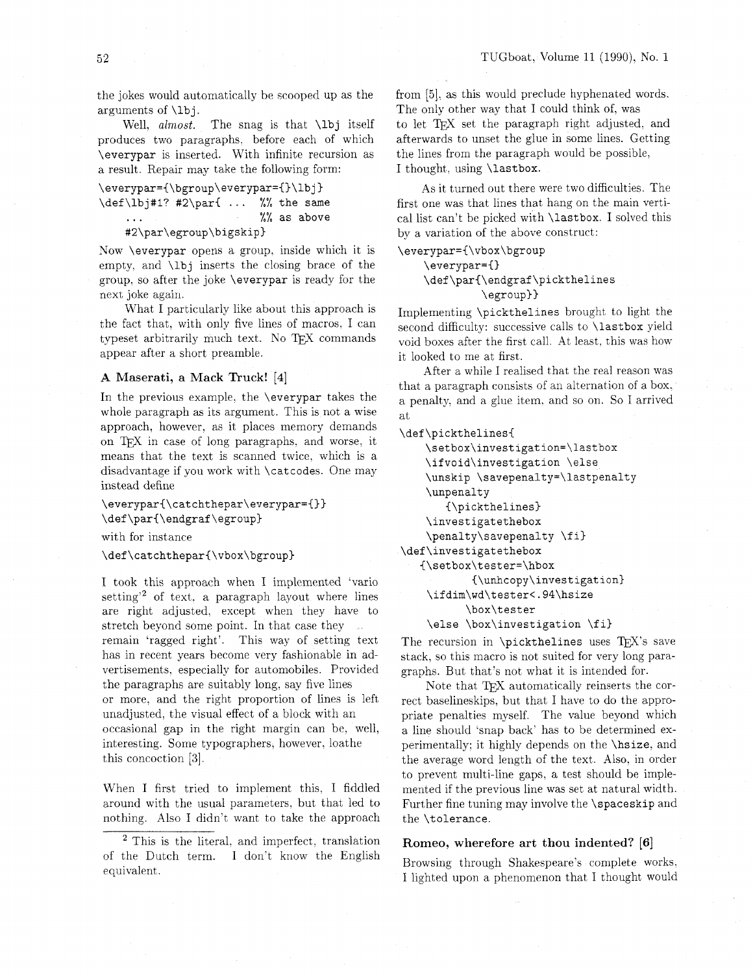the jokes would automatically be scooped up as the arguments of **\lb** j .

Well, almost. The snag is that **\lbj** itself produces two paragraphs, before each of which **\everypar** is inserted. With infinite recursion as a result. Repair may take the following form:

```
\everypar={\bgroup\everypar={)\lbj) 
\def\lbj#l? #2\parC ... %% the same 
    0 0 
... /,/, as above 
   #2\par\egroup\bigskip)
```
Xow **\everypar** opens a group, inside which it is empty, and **\lbj** inserts the closing brace of the group. so after the joke **\everypar** is ready for the next joke again.

What I particularly like about this approach is the fact that. with only five lines of macros. I can typeset arbitrarily much text. No TEX commands appear after a short preamble.

## **A Maserati, a Mack Truck! [4]**

In the previous example. the **\everypar** takes the whole paragraph as its argument. This is not a wise approach, however, as it places memory demands on TFX in case of long paragraphs, and worse, it means that the text is scanned twice, which is a disadvantage if you work with **\catcodes.** One may instead define

\everypar{\catchthepar\everypar={}} \def\par{\endgraf\egroup}

with for instance

\def\catchthepar{\vbox\bgroup}

I took this approach when I implemented 'vario setting<sup>'2</sup> of text. a paragraph layout where lines are right adjusted. except when they have to stretch beyond some point. In that case they remain 'ragged right'. This way of setting text has in recent years become very fashionable in advertisements, especially for automobiles. Provided the paragraphs are suitably long. say five lines or more. and the right proportion of lines is left unadjusted, the visual effect of a block with an occasional gap in the right margin can be. well, interesting. Some typographers, however, loathe this concoction **[3].** 

When I first tried to implement this. I fiddled around with the usual parameters, but that led to nothing. Also I didn't want to take the approach

<sup>2</sup> This is the literal, and imperfect, translation of the Dutch term. I don't know the English equivalent.

from *[5].* as this would preclude hyphenated words. The only other way that I could think of, was

to let T<sub>F</sub>X set the paragraph right adjusted, and afterwards to unset the glue in some lines. Getting the lines from the paragraph would be possible, I thought. using **\lastbox.** 

As it turned out there were two difficulties. The first one was that lines that hang on the main vertical list can't be picked with **\lastbox.** I solved this by a variation of the above construct:

**\everypar={\vbox\bgroup** 

**\everypar=() \def\par{\endgraf\pickthelines \egroup))** 

Implementing **\pickthelines** brought to light the second difficulty: successive calls to **\lastbox** yield void boxes after the first call. At least, this was how it looked to me at first.

After a while I realised that the real reason was that a paragraph consists of an alternation of a box. a penalty, and a glue item. and so on. So I arrived at

**\def\pickthelines{** 

```
\setbox\investigation=\lastbox 
    \ifvoid\investigation \else 
    \unskip \savepenalty=\lastpenalty 
    \unpenalt y 
       {\pickthelines) 
    \investigatethebox 
    \penalty\savepenalty \fi) 
\def\investigatethebox 
   {\setbox\tester=\hbox 
            {\unhcopy\investigation) 
    \ifdim\wd\tester<.94\hsize 
           \box\tester
```
**\else \box\investigation \fi)** 

The recursion in **\pickthelines** uses TEX's save stack, so this macro is not suited for very long paragraphs. But that's not what it is intended for.

Note that TFX automatically reinserts the correct baselineskips, but that I have to do the appropriate penalties myself. The value beyond which a line should 'snap back' has to be determined experimentally: it highly depends on the **\hsize,** and the average word length of the text. Also, in order to prevent multi-line gaps. a test should be implemented if the previous line was set at natural width. Further fine tuning may involve the **\spaceskip** and the **\tolerance.** 

### **Romeo, wherefore art thou indented? [6]**

Browsing through Shakespeare's complete works. I lighted upon a phenomenon that I thought would